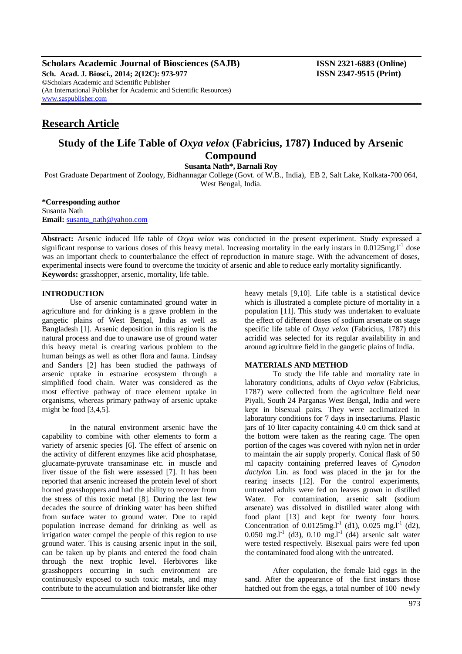**Scholars Academic Journal of Biosciences (SAJB) ISSN 2321-6883 (Online) Sch. Acad. J. Biosci., 2014; 2(12C): 973-977 ISSN 2347-9515 (Print)** ©Scholars Academic and Scientific Publisher (An International Publisher for Academic and Scientific Resources) [www.saspublisher.com](http://www.saspublisher.com/)

# **Research Article**

## **Study of the Life Table of** *Oxya velox* **(Fabricius, 1787) Induced by Arsenic Compound**

**Susanta Nath\*, Barnali Roy**

Post Graduate Department of Zoology, Bidhannagar College (Govt. of W.B., India), EB 2, Salt Lake, Kolkata-700 064, West Bengal, India.

**\*Corresponding author** Susanta Nath **Email:** [susanta\\_nath@yahoo.com](mailto:susanta_nath@yahoo.com)

**Abstract:** Arsenic induced life table of *Oxya velox* was conducted in the present experiment. Study expressed a significant response to various doses of this heavy metal. Increasing mortality in the early instars in  $0.0125$ mg.l<sup>-1</sup> dose was an important check to counterbalance the effect of reproduction in mature stage. With the advancement of doses, experimental insects were found to overcome the toxicity of arsenic and able to reduce early mortality significantly. **Keywords:** grasshopper, arsenic, mortality, life table.

## **INTRODUCTION**

Use of arsenic contaminated ground water in agriculture and for drinking is a grave problem in the gangetic plains of West Bengal, India as well as Bangladesh [1]. Arsenic deposition in this region is the natural process and due to unaware use of ground water this heavy metal is creating various problem to the human beings as well as other flora and fauna. Lindsay and Sanders [2] has been studied the pathways of arsenic uptake in estuarine ecosystem through a simplified food chain. Water was considered as the most effective pathway of trace element uptake in organisms, whereas primary pathway of arsenic uptake might be food [3,4,5].

In the natural environment arsenic have the capability to combine with other elements to form a variety of arsenic species [6]. The effect of arsenic on the activity of different enzymes like acid phosphatase, glucamate-pyruvate transaminase etc. in muscle and liver tissue of the fish were assessed [7]. It has been reported that arsenic increased the protein level of short horned grasshoppers and had the ability to recover from the stress of this toxic metal [8]. During the last few decades the source of drinking water has been shifted from surface water to ground water. Due to rapid population increase demand for drinking as well as irrigation water compel the people of this region to use ground water. This is causing arsenic input in the soil, can be taken up by plants and entered the food chain through the next trophic level. Herbivores like grasshoppers occurring in such environment are continuously exposed to such toxic metals, and may contribute to the accumulation and biotransfer like other

heavy metals [9,10]. Life table is a statistical device which is illustrated a complete picture of mortality in a population [11]. This study was undertaken to evaluate the effect of different doses of sodium arsenate on stage specific life table of *Oxya velox* (Fabricius, 1787) this acridid was selected for its regular availability in and around agriculture field in the gangetic plains of India.

## **MATERIALS AND METHOD**

To study the life table and mortality rate in laboratory conditions, adults of *Oxya velox* (Fabricius, 1787) were collected from the agriculture field near Piyali, South 24 Parganas West Bengal, India and were kept in bisexual pairs. They were acclimatized in laboratory conditions for 7 days in insectariums. Plastic jars of 10 liter capacity containing 4.0 cm thick sand at the bottom were taken as the rearing cage. The open portion of the cages was covered with nylon net in order to maintain the air supply properly. Conical flask of 50 ml capacity containing preferred leaves of *Cynodon dactylon* Lin*.* as food was placed in the jar for the rearing insects [12]. For the control experiments, untreated adults were fed on leaves grown in distilled Water. For contamination, arsenic salt (sodium arsenate) was dissolved in distilled water along with food plant [13] and kept for twenty four hours. Concentration of  $0.0125$ mg.l<sup>-1</sup> (d1),  $0.025$  mg.l<sup>-1</sup> (d2),  $0.050$  mg.l<sup>-1</sup> (d3),  $0.10$  mg.l<sup>-1</sup> (d4) arsenic salt water were tested respectively. Bisexual pairs were fed upon the contaminated food along with the untreated.

After copulation, the female laid eggs in the sand. After the appearance of the first instars those hatched out from the eggs, a total number of 100 newly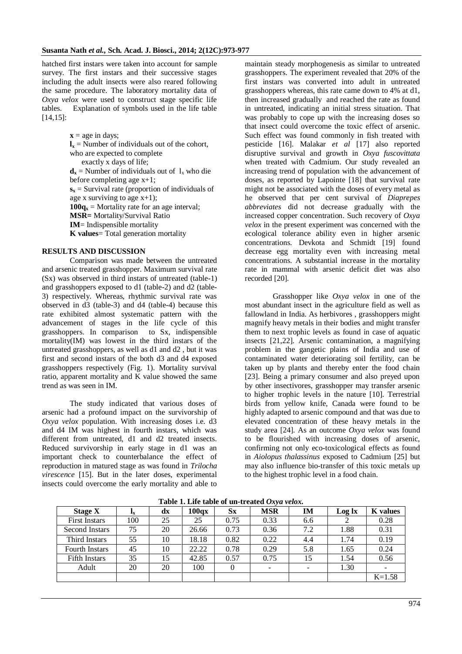hatched first instars were taken into account for sample survey. The first instars and their successive stages including the adult insects were also reared following the same procedure. The laboratory mortality data of *Oxya velox* were used to construct stage specific life tables. Explanation of symbols used in the life table [14,15]:

 $x = age$  in days;

 $\mathbf{l}_x$  = Number of individuals out of the cohort, who are expected to complete

exactly x days of life;

 $\mathbf{d}_x$  = Number of individuals out of  $\mathbf{l}_x$  who die before completing age x+1;  $s_x$  = Survival rate (proportion of individuals of age x surviving to age  $x+1$ );  $100q_x$  = Mortality rate for an age interval; **MSR=** Mortality/Survival Ratio **IM**= Indispensible mortality

## **K values**= Total generation mortality

## **RESULTS AND DISCUSSION**

Comparison was made between the untreated and arsenic treated grasshopper. Maximum survival rate (Sx) was observed in third instars of untreated (table-1) and grasshoppers exposed to d1 (table-2) and d2 (table-3) respectively. Whereas, rhythmic survival rate was observed in d3 (table-3) and d4 (table-4) because this rate exhibited almost systematic pattern with the advancement of stages in the life cycle of this grasshoppers. In comparison to Sx, indispensible mortality(IM) was lowest in the third instars of the untreated grasshoppers, as well as d1 and d2 , but it was first and second instars of the both d3 and d4 exposed grasshoppers respectively (Fig. 1). Mortality survival ratio, apparent mortality and K value showed the same trend as was seen in IM.

The study indicated that various doses of arsenic had a profound impact on the survivorship of *Oxya velox* population. With increasing doses i.e. d3 and d4 IM was highest in fourth instars, which was different from untreated, d1 and d2 treated insects. Reduced survivorship in early stage in d1 was an important check to counterbalance the effect of reproduction in matured stage as was found in *Trilocha virescence* [15]. But in the later doses, experimental insects could overcome the early mortality and able to

maintain steady morphogenesis as similar to untreated grasshoppers. The experiment revealed that 20% of the first instars was converted into adult in untreated grasshoppers whereas, this rate came down to 4% at d1, then increased gradually and reached the rate as found in untreated, indicating an initial stress situation. That was probably to cope up with the increasing doses so that insect could overcome the toxic effect of arsenic. Such effect was found commonly in fish treated with pesticide [16]. Malakar *et al* [17] also reported disruptive survival and growth in *Oxya fuscovittata*  when treated with Cadmium. Our study revealed an increasing trend of population with the advancement of doses, as reported by Lapointe [18] that survival rate might not be associated with the doses of every metal as he observed that per cent survival of *Diaprepes abbreviates* did not decrease gradually with the increased copper concentration. Such recovery of *Oxya velox* in the present experiment was concerned with the ecological tolerance ability even in higher arsenic concentrations. Devkota and Schmidt [19] found decrease egg mortality even with increasing metal concentrations. A substantial increase in the mortality rate in mammal with arsenic deficit diet was also recorded [20].

Grasshopper like *Oxya velox* in one of the most abundant insect in the agriculture field as well as fallowland in India. As herbivores , grasshoppers might magnify heavy metals in their bodies and might transfer them to next trophic levels as found in case of aquatic insects [21,22]. Arsenic contamination, a magnifying problem in the gangetic plains of India and use of contaminated water deteriorating soil fertility, can be taken up by plants and thereby enter the food chain [23]. Being a primary consumer and also preyed upon by other insectivores, grasshopper may transfer arsenic to higher trophic levels in the nature [10]. Terrestrial birds from yellow knife, Canada were found to be highly adapted to arsenic compound and that was due to elevated concentration of these heavy metals in the study area [24]. As an outcome *Oxya velox* was found to be flourished with increasing doses of arsenic, confirming not only eco-toxicological effects as found in *Aiolopus thalassinus* exposed to Cadmium [25] but may also influence bio-transfer of this toxic metals up to the highest trophic level in a food chain.

| Table 1. Life table of an-if calcul <i>Oxya Felox.</i> |             |    |                   |             |                          |                          |        |                 |  |  |
|--------------------------------------------------------|-------------|----|-------------------|-------------|--------------------------|--------------------------|--------|-----------------|--|--|
| <b>Stage X</b>                                         | $L_{\rm X}$ | dx | 100 <sub>qx</sub> | $S_{\rm X}$ | <b>MSR</b>               | IM                       | Log lx | <b>K</b> values |  |  |
| <b>First Instars</b>                                   | 100         | 25 | 25                | 0.75        | 0.33                     | 6.6                      |        | 0.28            |  |  |
| Second Instars                                         | 75          | 20 | 26.66             | 0.73        | 0.36                     | 7.2                      | 1.88   | 0.31            |  |  |
| Third Instars                                          | 55          | 10 | 18.18             | 0.82        | 0.22                     | 4.4                      | 1.74   | 0.19            |  |  |
| <b>Fourth Instars</b>                                  | 45          | 10 | 22.22             | 0.78        | 0.29                     | 5.8                      | 1.65   | 0.24            |  |  |
| <b>Fifth Instars</b>                                   | 35          | 15 | 42.85             | 0.57        | 0.75                     | 15                       | 1.54   | 0.56            |  |  |
| Adult                                                  | 20          | 20 | 100               |             | $\overline{\phantom{0}}$ | $\overline{\phantom{0}}$ | 1.30   |                 |  |  |
|                                                        |             |    |                   |             |                          |                          |        | $K=1.58$        |  |  |

**Table 1. Life table of un-treated** *Oxya velox.*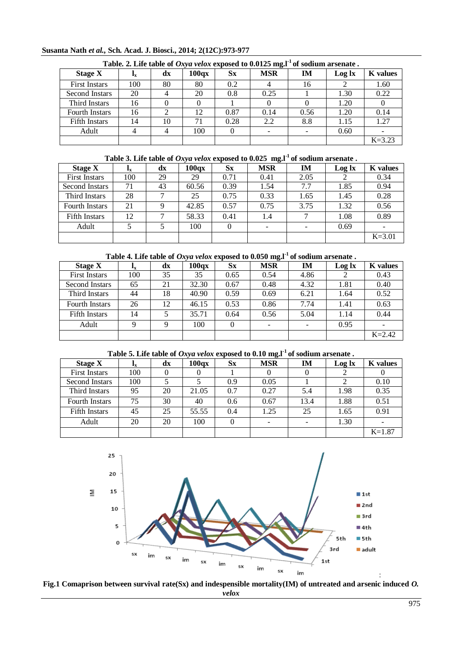| Susanta Nath et al., Sch. Acad. J. Biosci., 2014; 2(12C):973-977 |  |  |  |  |  |
|------------------------------------------------------------------|--|--|--|--|--|
|------------------------------------------------------------------|--|--|--|--|--|

| Table. 2. Life table of <i>Oxya velox</i> exposed to $0.0125$ mg. I <sup>-1</sup> of sodium arsenate. |                           |    |                   |           |            |      |        |                 |  |  |
|-------------------------------------------------------------------------------------------------------|---------------------------|----|-------------------|-----------|------------|------|--------|-----------------|--|--|
| <b>Stage X</b>                                                                                        | $\mathbf{I}_{\mathbf{X}}$ | dx | 100 <sub>qx</sub> | <b>Sx</b> | <b>MSR</b> | IM   | Log lx | <b>K</b> values |  |  |
| <b>First Instars</b>                                                                                  | 100                       | 80 | 80                | 0.2       |            | 16   |        | 1.60            |  |  |
| Second Instars                                                                                        | 20                        |    | 20                | 0.8       | 0.25       |      | 1.30   | 0.22            |  |  |
| Third Instars                                                                                         | 16                        |    |                   |           |            |      | 1.20   |                 |  |  |
| <b>Fourth Instars</b>                                                                                 | 16                        |    | 12                | 0.87      | 0.14       | 0.56 | 1.20   | 0.14            |  |  |
| <b>Fifth Instars</b>                                                                                  | 14                        | 10 | 71                | 0.28      | 2.2        | 8.8  | 1.15   | 1.27            |  |  |
| Adult                                                                                                 | 4                         |    | 100               |           |            |      | 0.60   |                 |  |  |
|                                                                                                       |                           |    |                   |           |            |      |        | $K = 3.23$      |  |  |

**Table 3. Life table of** *Oxya velox* **exposed to 0.025 mg.l-1 of sodium arsenate .**

| Stage X               | 1x  | $\mathbf{dx}$ | 100a <sub>X</sub> | $S_{\rm X}$ | <b>MSR</b>               | IM   | Log lx | <b>K</b> values |
|-----------------------|-----|---------------|-------------------|-------------|--------------------------|------|--------|-----------------|
| <b>First Instars</b>  | 100 | 29            | 29                | 0.71        | 0.41                     | 2.05 |        | 0.34            |
| Second Instars        | 71  | 43            | 60.56             | 0.39        | 1.54                     | 7.7  | 1.85   | 0.94            |
| Third Instars         | 28  | 7             | 25                | 0.75        | 0.33                     | 1.65 | 1.45   | 0.28            |
| <b>Fourth Instars</b> | 21  | 9             | 42.85             | 0.57        | 0.75                     | 3.75 | 1.32   | 0.56            |
| <b>Fifth Instars</b>  | 12  | 7             | 58.33             | 0.41        | 1.4                      |      | 1.08   | 0.89            |
| Adult                 |     |               | 100               |             | $\overline{\phantom{0}}$ |      | 0.69   |                 |
|                       |     |               |                   |             |                          |      |        | $K = 3.01$      |

**Table 4. Life table of** *Oxya velox* **exposed to 0.050 mg.l-1 of sodium arsenate .**

| <b>Stage X</b>        | 1x  | $\mathbf{dx}$ | 100 <sub>qX</sub> | $S_{X}$ | <b>MSR</b> | IM   | Log lx | <b>K</b> values |
|-----------------------|-----|---------------|-------------------|---------|------------|------|--------|-----------------|
| <b>First Instars</b>  | 100 | 35            | 35                | 0.65    | 0.54       | 4.86 |        | 0.43            |
| Second Instars        | 65  | 21            | 32.30             | 0.67    | 0.48       | 4.32 | 1.81   | 0.40            |
| <b>Third Instars</b>  | 44  | 18            | 40.90             | 0.59    | 0.69       | 6.21 | 1.64   | 0.52            |
| <b>Fourth Instars</b> | 26  | 12            | 46.15             | 0.53    | 0.86       | 7.74 | 1.41   | 0.63            |
| Fifth Instars         | 14  |               | 35.71             | 0.64    | 0.56       | 5.04 | 1.14   | 0.44            |
| Adult                 | Q   |               | 100               |         |            |      | 0.95   |                 |
|                       |     |               |                   |         |            |      |        | $K = 2.42$      |

**Table 5. Life table of** *Oxya velox* **exposed to 0.10 mg.l-1 of sodium arsenate .**

| <b>Stage X</b>        | $\mathbf{I}_{\mathbf{X}}$ | $\mathbf{dx}$ | 100 <sub>0</sub> | $S_{\rm X}$ | <b>MSR</b> | <b>IM</b> | Log lx | <b>K</b> values |
|-----------------------|---------------------------|---------------|------------------|-------------|------------|-----------|--------|-----------------|
| <b>First Instars</b>  | 100                       |               |                  |             |            |           |        |                 |
| Second Instars        | 100                       |               |                  | 0.9         | 0.05       |           | 2      | 0.10            |
| Third Instars         | 95                        | 20            | 21.05            | 0.7         | 0.27       | 5.4       | 1.98   | 0.35            |
| <b>Fourth Instars</b> | 75                        | 30            | 40               | 0.6         | 0.67       | 13.4      | 1.88   | 0.51            |
| Fifth Instars         | 45                        | 25            | 55.55            | 0.4         | 1.25       | 25        | 1.65   | 0.91            |
| Adult                 | 20                        | 20            | 100              | 0           |            |           | 1.30   |                 |
|                       |                           |               |                  |             |            |           |        | $K=1.87$        |



**Fig.1 Comaprison between survival rate(Sx) and indespensible mortality(IM) of untreated and arsenic induced** *O. velox*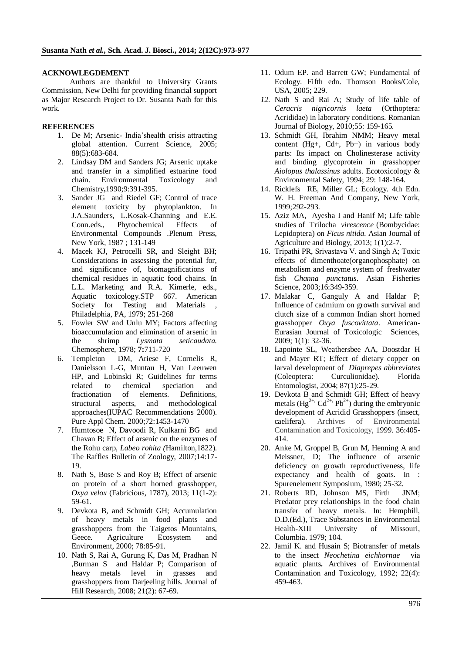## **ACKNOWLEGDEMENT**

Authors are thankful to University Grants Commission, New Delhi for providing financial support as Major Research Project to Dr. Susanta Nath for this work.

## **REFERENCES**

- 1. De M; Arsenic- India'shealth crisis attracting global attention. Current Science, 2005; 88(5):683-684.
- 2. Lindsay DM and Sanders JG; Arsenic uptake and transfer in a simplified estuarine food chain. Environmental Toxicology and Chemistry**,**1990;9:391-395.
- 3. Sander JG and Riedel GF; Control of trace element toxicity by phytoplankton. In J.A.Saunders, L.Kosak-Channing and E.E. Conn.eds., Phytochemical Effects of Environmental Compounds .Plenum Press, New York, 1987 ; 131-149
- 4. Macek KJ, Petrocelli SR, and Sleight BH; Considerations in assessing the potential for, and significance of, biomagnifications of chemical residues in aquatic food chains. In L.L. Marketing and R.A. Kimerle, eds., Aquatic toxicology*.*STP 667. American Society for Testing and Materials , Philadelphia, PA, 1979; 251-268
- 5. Fowler SW and Unlu MY; Factors affecting bioaccumulation and elimination of arsenic in the shrimp *Lysmata seticaudata.*  Chemosphere, 1978; **7:**711-720
- 6. Templeton DM, Ariese F, Cornelis R, Danielsson L-G, Muntau H, Van Leeuwen HP, and Lobinski R; Guidelines for terms related to chemical speciation and fractionation of elements. Definitions, structural aspects, and methodological approaches(IUPAC Recommendations 2000). Pure Appl Chem. 2000;72:1453-1470
- 7. Humtosoe N, Davoodi R, Kulkarni BG and Chavan B; Effect of arsenic on the enzymes of the Rohu carp, *Labeo rohita (*Hamilton,1822). The Raffles Bulletin of Zoology, 2007;14:17- 19.
- 8. Nath S, Bose S and Roy B; Effect of arsenic on protein of a short horned grasshopper, *Oxya velox* (Fabricious, 1787), 2013; 11(1-2): 59-61.
- 9. Devkota B, and Schmidt GH; Accumulation of heavy metals in food plants and grasshoppers from the Taigetos Mountains, Geece*.* Agriculture Ecosystem and Environment*,* 2000; 78:85-91.
- 10. Nath S, Rai A, Gurung K, Das M, Pradhan N ,Burman S and Haldar P; Comparison of heavy metals level in grasses and grasshoppers from Darjeeling hills. Journal of Hill Research*,* 2008; 21(2): 67-69.
- 11. Odum EP. and Barrett GW; Fundamental of Ecology. Fifth edn. Thomson Books/Cole, USA, 2005; 229.
- *12.* Nath S and Rai A; Study of life table of *Ceracris nigricornis laeta* (Orthoptera: Acrididae) in laboratory conditions. Romanian Journal of Biology, 2010;55: 159-165*.*
- 13. Schmidt GH, Ibrahim NMM; Heavy metal content (Hg+, Cd+, Pb+) in various body parts: Its impact on Cholinesterase activity and binding glycoprotein in grasshopper *Aiolopus thalassinus* adults. Ecotoxicology & Environmental Safety, 1994; 29: 148-164.
- 14. Ricklefs RE, Miller GL; Ecology*.* 4th Edn. W. H. Freeman And Company, New York, 1999;292-293.
- 15. Aziz MA, Ayesha I and Hanif M; Life table studies of Trilocha *virescence* (Bombycidae: Lepidoptera) on *Ficus nitida.* Asian Journal of Agriculture and Biology, 2013; 1(1):2-7.
- 16. Tripathi PR, Srivastava V. and Singh A; Toxic effects of dimenthoate(organophosphate) on metabolism and enzyme system of freshwater fish *Channa punctatus*. Asian Fisheries Science, 2003;16:349-359.
- 17. Malakar C, Ganguly A and Haldar P; Influence of cadmium on growth survival and clutch size of a common Indian short horned grasshopper *Oxya fuscovittata*. American-Eurasian Journal of Toxicologic Sciences, 2009; 1(1): 32-36.
- 18. Lapointe SL, Weathersbee AA, Doostdar H and Mayer RT; Effect of dietary copper on larval development of *Diaprepes abbreviates* (Coleoptera: Curculionidae). Florida Entomologist, 2004; 87(1):25-29.
- 19. Devkota B and Schmidt GH; Effect of heavy metals  $(Hg^{2+}, Cd^{2+}, Pb^{2+})$  during the embryonic development of Acridid Grasshoppers (insect, caelifera). Archives of Environmental Contamination and Toxicology, 1999. 36:405- 414.
- 20. Anke M, Groppel B, Grun M, Henning A and Meissner, D; The influence of arsenic deficiency on growth reproductiveness, life expectancy and health of goats. In : Spurenelement Symposium, 1980; 25-32.
- 21. Roberts RD, Johnson MS, Firth JNM; Predator prey relationships in the food chain transfer of heavy metals. In: Hemphill, D.D.(Ed.), Trace Substances in Environmental Health-XIII University of Missouri, Columbia. 1979; 104.
- 22. Jamil K. and Husain S; Biotransfer of metals to the insect *Neochetina eichhornae* via aquatic plants*.* Archives of Environmental Contamination and Toxicology, 1992; 22(4): 459-463.